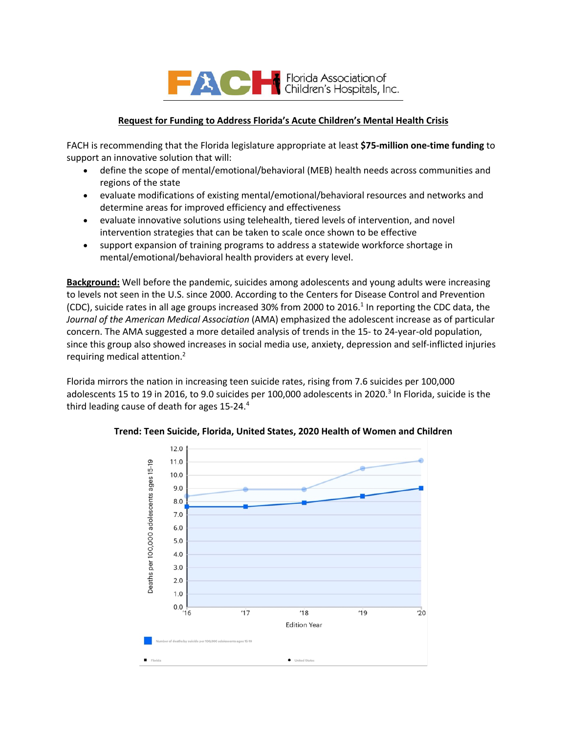

### **Request for Funding to Address Florida's Acute Children's Mental Health Crisis**

FACH is recommending that the Florida legislature appropriate at least **\$75-million one-time funding** to support an innovative solution that will:

- define the scope of mental/emotional/behavioral (MEB) health needs across communities and regions of the state
- evaluate modifications of existing mental/emotional/behavioral resources and networks and determine areas for improved efficiency and effectiveness
- evaluate innovative solutions using telehealth, tiered levels of intervention, and novel intervention strategies that can be taken to scale once shown to be effective
- support expansion of training programs to address a statewide workforce shortage in mental/emotional/behavioral health providers at every level.

**Background:** Well before the pandemic, suicides among adolescents and young adults were increasing to levels not seen in the U.S. since 2000. According to the Centers for Disease Control and Prevention (CDC), suicide rates in all age groups increased 30% from 2000 to 2016.<sup>1</sup> In reporting the CDC data, the *Journal of the American Medical Association* (AMA) emphasized the adolescent increase as of particular concern. The AMA suggested a more detailed analysis of trends in the 15- to 24-year-old population, since this group also showed increases in social media use, anxiety, depression and self-inflicted injuries requiring medical attention.2

Florida mirrors the nation in increasing teen suicide rates, rising from 7.6 suicides per 100,000 adolescents 15 to 19 in 2016, to 9.0 suicides per 100,000 adolescents in 2020.<sup>3</sup> In Florida, suicide is the third leading cause of death for ages 15-24.<sup>4</sup>



**Trend: Teen Suicide, Florida, United States, 2020 Health of Women and Children**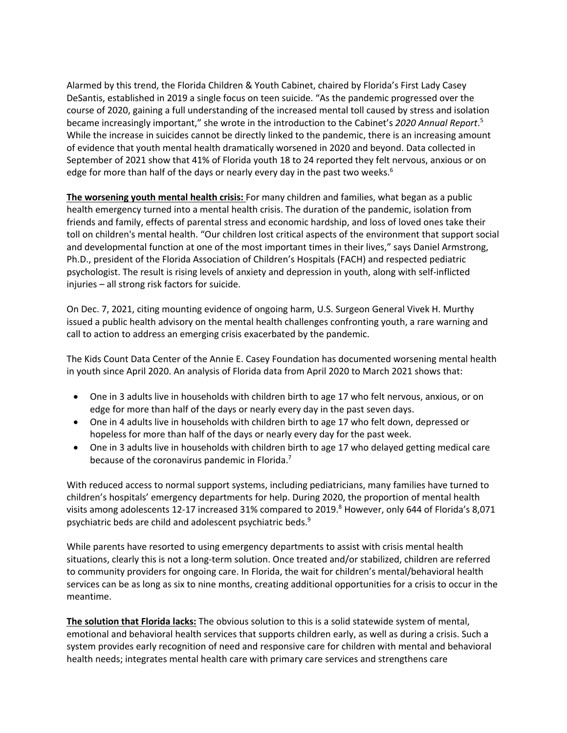Alarmed by this trend, the Florida Children & Youth Cabinet, chaired by Florida's First Lady Casey DeSantis, established in 2019 a single focus on teen suicide. "As the pandemic progressed over the course of 2020, gaining a full understanding of the increased mental toll caused by stress and isolation became increasingly important," she wrote in the introduction to the Cabinet's *2020 Annual Report*. 5 While the increase in suicides cannot be directly linked to the pandemic, there is an increasing amount of evidence that youth mental health dramatically worsened in 2020 and beyond. Data collected in September of 2021 show that 41% of Florida youth 18 to 24 reported they felt nervous, anxious or on edge for more than half of the days or nearly every day in the past two weeks.<sup>6</sup>

**The worsening youth mental health crisis:** For many children and families, what began as a public health emergency turned into a mental health crisis. The duration of the pandemic, isolation from friends and family, effects of parental stress and economic hardship, and loss of loved ones take their toll on children's mental health. "Our children lost critical aspects of the environment that support social and developmental function at one of the most important times in their lives," says Daniel Armstrong, Ph.D., president of the Florida Association of Children's Hospitals (FACH) and respected pediatric psychologist. The result is rising levels of anxiety and depression in youth, along with self-inflicted injuries – all strong risk factors for suicide.

On Dec. 7, 2021, citing mounting evidence of ongoing harm, U.S. Surgeon General Vivek H. Murthy issued a public health advisory on the mental health challenges confronting youth, a rare warning and call to action to address an emerging crisis exacerbated by the pandemic.

The Kids Count Data Center of the Annie E. Casey Foundation has documented worsening mental health in youth since April 2020. An analysis of Florida data from April 2020 to March 2021 shows that:

- One in 3 adults live in households with children birth to age 17 who felt nervous, anxious, or on edge for more than half of the days or nearly every day in the past seven days.
- One in 4 adults live in households with children birth to age 17 who felt down, depressed or hopeless for more than half of the days or nearly every day for the past week.
- One in 3 adults live in households with children birth to age 17 who delayed getting medical care because of the coronavirus pandemic in Florida.<sup>7</sup>

With reduced access to normal support systems, including pediatricians, many families have turned to children's hospitals' emergency departments for help. During 2020, the proportion of mental health visits among adolescents 12-17 increased 31% compared to 2019.<sup>8</sup> However, only 644 of Florida's 8,071 psychiatric beds are child and adolescent psychiatric beds.9

While parents have resorted to using emergency departments to assist with crisis mental health situations, clearly this is not a long-term solution. Once treated and/or stabilized, children are referred to community providers for ongoing care. In Florida, the wait for children's mental/behavioral health services can be as long as six to nine months, creating additional opportunities for a crisis to occur in the meantime.

**The solution that Florida lacks:** The obvious solution to this is a solid statewide system of mental, emotional and behavioral health services that supports children early, as well as during a crisis. Such a system provides early recognition of need and responsive care for children with mental and behavioral health needs; integrates mental health care with primary care services and strengthens care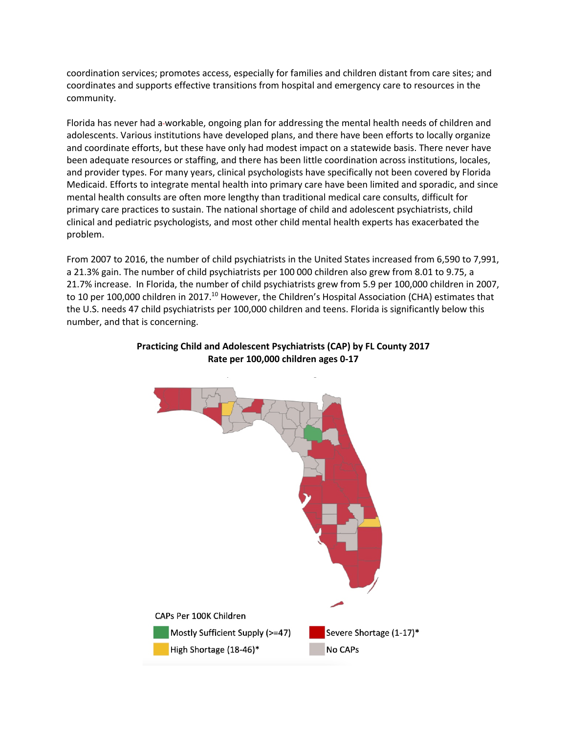coordination services; promotes access, especially for families and children distant from care sites; and coordinates and supports effective transitions from hospital and emergency care to resources in the community.

Florida has never had a-workable, ongoing plan for addressing the mental health needs of children and adolescents. Various institutions have developed plans, and there have been efforts to locally organize and coordinate efforts, but these have only had modest impact on a statewide basis. There never have been adequate resources or staffing, and there has been little coordination across institutions, locales, and provider types. For many years, clinical psychologists have specifically not been covered by Florida Medicaid. Efforts to integrate mental health into primary care have been limited and sporadic, and since mental health consults are often more lengthy than traditional medical care consults, difficult for primary care practices to sustain. The national shortage of child and adolescent psychiatrists, child clinical and pediatric psychologists, and most other child mental health experts has exacerbated the problem.

From 2007 to 2016, the number of child psychiatrists in the United States increased from 6,590 to 7,991, a 21.3% gain. The number of child psychiatrists per 100 000 children also grew from 8.01 to 9.75, a 21.7% increase. In Florida, the number of child psychiatrists grew from 5.9 per 100,000 children in 2007, to 10 per 100,000 children in 2017.<sup>10</sup> However, the Children's Hospital Association (CHA) estimates that the U.S. needs 47 child psychiatrists per 100,000 children and teens. Florida is significantly below this number, and that is concerning.



### **Practicing Child and Adolescent Psychiatrists (CAP) by FL County 2017 Rate per 100,000 children ages 0-17**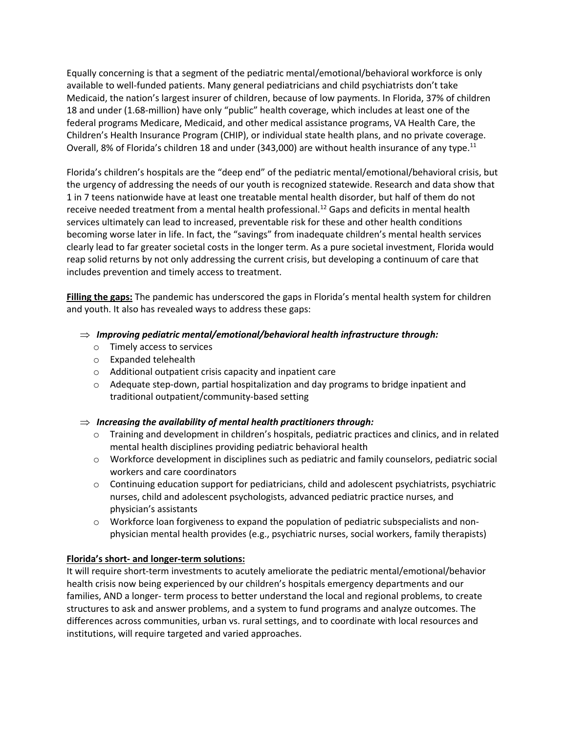Equally concerning is that a segment of the pediatric mental/emotional/behavioral workforce is only available to well-funded patients. Many general pediatricians and child psychiatrists don't take Medicaid, the nation's largest insurer of children, because of low payments. In Florida, 37% of children 18 and under (1.68-million) have only "public" health coverage, which includes at least one of the federal programs Medicare, Medicaid, and other medical assistance programs, VA Health Care, the Children's Health Insurance Program (CHIP), or individual state health plans, and no private coverage. Overall, 8% of Florida's children 18 and under (343,000) are without health insurance of any type.<sup>11</sup>

Florida's children's hospitals are the "deep end" of the pediatric mental/emotional/behavioral crisis, but the urgency of addressing the needs of our youth is recognized statewide. Research and data show that 1 in 7 teens nationwide have at least one treatable mental health disorder, but half of them do not receive needed treatment from a mental health professional.<sup>12</sup> Gaps and deficits in mental health services ultimately can lead to increased, preventable risk for these and other health conditions becoming worse later in life. In fact, the "savings" from inadequate children's mental health services clearly lead to far greater societal costs in the longer term. As a pure societal investment, Florida would reap solid returns by not only addressing the current crisis, but developing a continuum of care that includes prevention and timely access to treatment.

**Filling the gaps:** The pandemic has underscored the gaps in Florida's mental health system for children and youth. It also has revealed ways to address these gaps:

- $\Rightarrow$  *Improving pediatric mental/emotional/behavioral health infrastructure through:* 
	- o Timely access to services
	- o Expanded telehealth
	- o Additional outpatient crisis capacity and inpatient care
	- $\circ$  Adequate step-down, partial hospitalization and day programs to bridge inpatient and traditional outpatient/community-based setting

# $\Rightarrow$  Increasing the availability of mental health practitioners through:

- $\circ$  Training and development in children's hospitals, pediatric practices and clinics, and in related mental health disciplines providing pediatric behavioral health
- o Workforce development in disciplines such as pediatric and family counselors, pediatric social workers and care coordinators
- o Continuing education support for pediatricians, child and adolescent psychiatrists, psychiatric nurses, child and adolescent psychologists, advanced pediatric practice nurses, and physician's assistants
- $\circ$  Workforce loan forgiveness to expand the population of pediatric subspecialists and nonphysician mental health provides (e.g., psychiatric nurses, social workers, family therapists)

# **Florida's short- and longer-term solutions:**

It will require short-term investments to acutely ameliorate the pediatric mental/emotional/behavior health crisis now being experienced by our children's hospitals emergency departments and our families, AND a longer- term process to better understand the local and regional problems, to create structures to ask and answer problems, and a system to fund programs and analyze outcomes. The differences across communities, urban vs. rural settings, and to coordinate with local resources and institutions, will require targeted and varied approaches.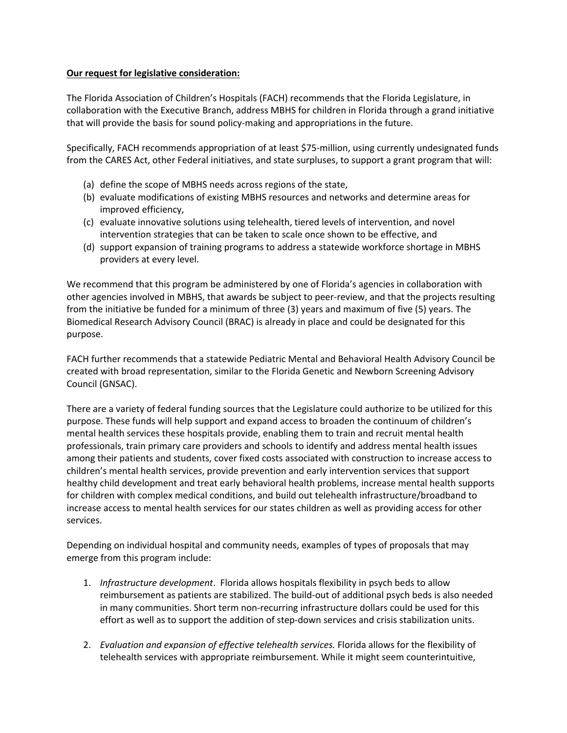### **Our request for legislative consideration:**

The Florida Association of Children's Hospitals (FACH) recommends that the Florida Legislature, in collaboration with the Executive Branch, address MBHS for children in Florida through a grand initiative that will provide the basis for sound policy-making and appropriations in the future.

Specifically, FACH recommends appropriation of at least \$75-million, using currently undesignated funds from the CARES Act, other Federal initiatives, and state surpluses, to support a grant program that will:

- (a) define the scope of MBHS needs across regions of the state,
- (b) evaluate modifications of existing MBHS resources and networks and determine areas for improved efficiency,
- (c) evaluate innovative solutions using telehealth, tiered levels of intervention, and novel intervention strategies that can be taken to scale once shown to be effective, and
- (d) support expansion of training programs to address a statewide workforce shortage in MBHS providers at every level.

We recommend that this program be administered by one of Florida's agencies in collaboration with other agencies involved in MBHS, that awards be subject to peer-review, and that the projects resulting from the initiative be funded for a minimum of three (3) years and maximum of five (5) years. The Biomedical Research Advisory Council (BRAC) is already in place and could be designated for this purpose.

FACH further recommends that a statewide Pediatric Mental and Behavioral Health Advisory Council be created with broad representation, similar to the Florida Genetic and Newborn Screening Advisory Council (GNSAC).

There are a variety of federal funding sources that the Legislature could authorize to be utilized for this purpose. These funds will help support and expand access to broaden the continuum of children's mental health services these hospitals provide, enabling them to train and recruit mental health professionals, train primary care providers and schools to identify and address mental health issues among their patients and students, cover fixed costs associated with construction to increase access to children's mental health services, provide prevention and early intervention services that support healthy child development and treat early behavioral health problems, increase mental health supports for children with complex medical conditions, and build out telehealth infrastructure/broadband to increase access to mental health services for our states children as well as providing access for other services.

Depending on individual hospital and community needs, examples of types of proposals that may emerge from this program include:

- 1. *Infrastructure development*. Florida allows hospitals flexibility in psych beds to allow reimbursement as patients are stabilized. The build-out of additional psych beds is also needed in many communities. Short term non-recurring infrastructure dollars could be used for this effort as well as to support the addition of step-down services and crisis stabilization units.
- 2. *Evaluation and expansion of effective telehealth services.* Florida allows for the flexibility of telehealth services with appropriate reimbursement. While it might seem counterintuitive,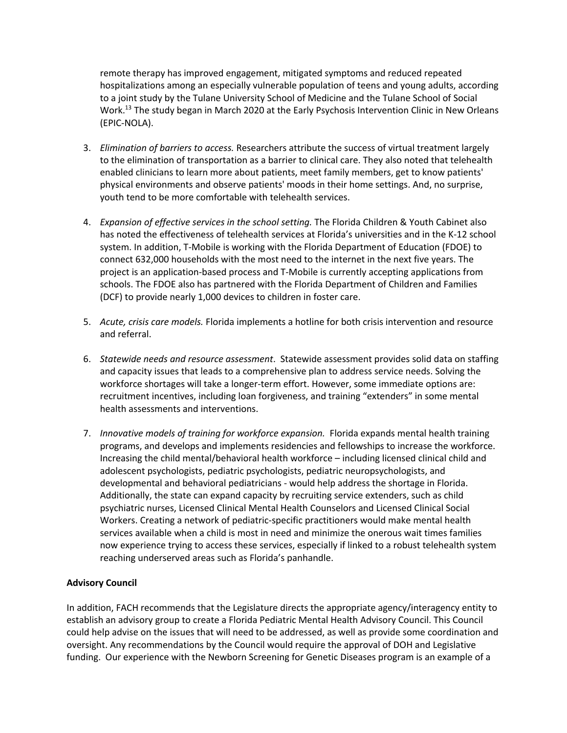remote therapy has improved engagement, mitigated symptoms and reduced repeated hospitalizations among an especially vulnerable population of teens and young adults, according to a joint study by the Tulane University School of Medicine and the Tulane School of Social Work.<sup>13</sup> The study began in March 2020 at the Early Psychosis Intervention Clinic in New Orleans (EPIC-NOLA).

- 3. *Elimination of barriers to access.* Researchers attribute the success of virtual treatment largely to the elimination of transportation as a barrier to clinical care. They also noted that telehealth enabled clinicians to learn more about patients, meet family members, get to know patients' physical environments and observe patients' moods in their home settings. And, no surprise, youth tend to be more comfortable with telehealth services.
- 4. *Expansion of effective services in the school setting.* The Florida Children & Youth Cabinet also has noted the effectiveness of telehealth services at Florida's universities and in the K-12 school system. In addition, T-Mobile is working with the Florida Department of Education (FDOE) to connect 632,000 households with the most need to the internet in the next five years. The project is an application-based process and T-Mobile is currently accepting applications from schools. The FDOE also has partnered with the Florida Department of Children and Families (DCF) to provide nearly 1,000 devices to children in foster care.
- 5. *Acute, crisis care models.* Florida implements a hotline for both crisis intervention and resource and referral.
- 6. *Statewide needs and resource assessment*. Statewide assessment provides solid data on staffing and capacity issues that leads to a comprehensive plan to address service needs. Solving the workforce shortages will take a longer-term effort. However, some immediate options are: recruitment incentives, including loan forgiveness, and training "extenders" in some mental health assessments and interventions.
- 7. *Innovative models of training for workforce expansion.* Florida expands mental health training programs, and develops and implements residencies and fellowships to increase the workforce. Increasing the child mental/behavioral health workforce – including licensed clinical child and adolescent psychologists, pediatric psychologists, pediatric neuropsychologists, and developmental and behavioral pediatricians - would help address the shortage in Florida. Additionally, the state can expand capacity by recruiting service extenders, such as child psychiatric nurses, Licensed Clinical Mental Health Counselors and Licensed Clinical Social Workers. Creating a network of pediatric-specific practitioners would make mental health services available when a child is most in need and minimize the onerous wait times families now experience trying to access these services, especially if linked to a robust telehealth system reaching underserved areas such as Florida's panhandle.

# **Advisory Council**

In addition, FACH recommends that the Legislature directs the appropriate agency/interagency entity to establish an advisory group to create a Florida Pediatric Mental Health Advisory Council. This Council could help advise on the issues that will need to be addressed, as well as provide some coordination and oversight. Any recommendations by the Council would require the approval of DOH and Legislative funding. Our experience with the Newborn Screening for Genetic Diseases program is an example of a